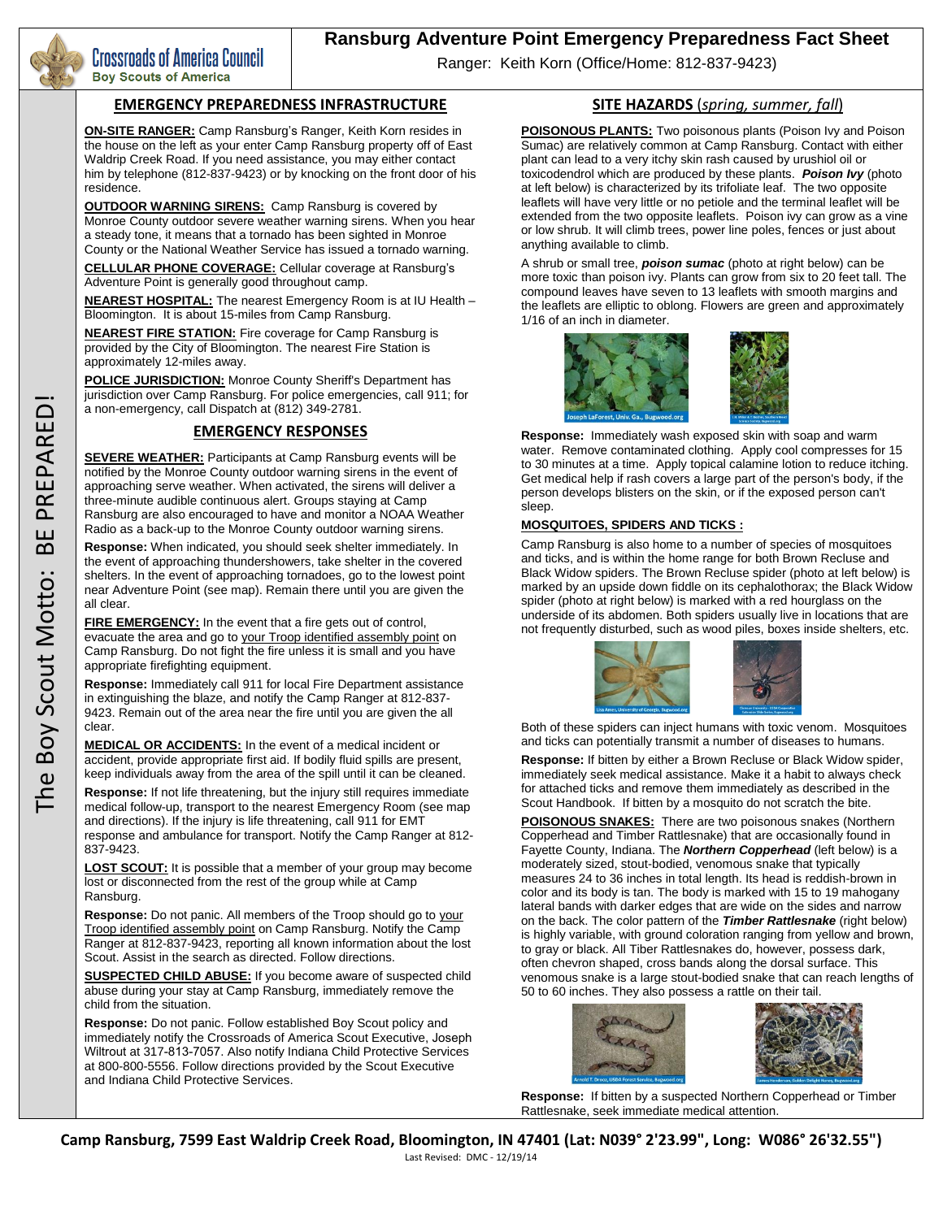

Crossroads of America Council **Boy Scouts of America** 

# **Ransburg Adventure Point Emergency Preparedness Fact Sheet**

Ranger: Keith Korn (Office/Home: 812-837-9423)

#### **EMERGENCY PREPAREDNESS INFRASTRUCTURE**

**ON-SITE RANGER:** Camp Ransburg's Ranger, Keith Korn resides in the house on the left as your enter Camp Ransburg property off of East Waldrip Creek Road. If you need assistance, you may either contact him by telephone (812-837-9423) or by knocking on the front door of his residence.

**OUTDOOR WARNING SIRENS:** Camp Ransburg is covered by Monroe County outdoor severe weather warning sirens. When you hear a steady tone, it means that a tornado has been sighted in Monroe County or the National Weather Service has issued a tornado warning.

**CELLULAR PHONE COVERAGE:** Cellular coverage at Ransburg's Adventure Point is generally good throughout camp.

**NEAREST HOSPITAL:** The nearest Emergency Room is at IU Health – Bloomington. It is about 15-miles from Camp Ransburg.

**NEAREST FIRE STATION:** Fire coverage for Camp Ransburg is provided by the City of Bloomington. The nearest Fire Station is approximately 12-miles away.

**POLICE JURISDICTION:** Monroe County Sheriff's Department has jurisdiction over Camp Ransburg. For police emergencies, call 911; for a non-emergency, call Dispatch at (812) 349-2781.

## **EMERGENCY RESPONSES**

**SEVERE WEATHER:** Participants at Camp Ransburg events will be notified by the Monroe County outdoor warning sirens in the event of approaching serve weather. When activated, the sirens will deliver a three-minute audible continuous alert. Groups staying at Camp Ransburg are also encouraged to have and monitor a NOAA Weather Radio as a back-up to the Monroe County outdoor warning sirens.

**Response:** When indicated, you should seek shelter immediately. In the event of approaching thundershowers, take shelter in the covered shelters. In the event of approaching tornadoes, go to the lowest point near Adventure Point (see map). Remain there until you are given the all clear.

**FIRE EMERGENCY:** In the event that a fire gets out of control, evacuate the area and go to your Troop identified assembly point on Camp Ransburg. Do not fight the fire unless it is small and you have appropriate firefighting equipment.

**Response:** Immediately call 911 for local Fire Department assistance in extinguishing the blaze, and notify the Camp Ranger at 812-837- 9423. Remain out of the area near the fire until you are given the all clear.

**MEDICAL OR ACCIDENTS:** In the event of a medical incident or accident, provide appropriate first aid. If bodily fluid spills are present, keep individuals away from the area of the spill until it can be cleaned.

**Response:** If not life threatening, but the injury still requires immediate medical follow-up, transport to the nearest Emergency Room (see map and directions). If the injury is life threatening, call 911 for EMT response and ambulance for transport. Notify the Camp Ranger at 812- 837-9423.

**LOST SCOUT:** It is possible that a member of your group may become lost or disconnected from the rest of the group while at Camp Ransburg.

**Response:** Do not panic. All members of the Troop should go to your Troop identified assembly point on Camp Ransburg. Notify the Camp Ranger at 812-837-9423, reporting all known information about the lost Scout. Assist in the search as directed. Follow directions.

**SUSPECTED CHILD ABUSE:** If you become aware of suspected child abuse during your stay at Camp Ransburg, immediately remove the child from the situation.

**Response:** Do not panic. Follow established Boy Scout policy and immediately notify the Crossroads of America Scout Executive, Joseph Wiltrout at 317-813-7057. Also notify Indiana Child Protective Services at 800-800-5556. Follow directions provided by the Scout Executive and Indiana Child Protective Services.

### **SITE HAZARDS** (*spring, summer, fall*)

**POISONOUS PLANTS:** Two poisonous plants (Poison Ivy and Poison Sumac) are relatively common at Camp Ransburg. Contact with either plant can lead to a very itchy skin rash caused by urushiol oil or toxicodendrol which are produced by these plants. *Poison Ivy* (photo at left below) is characterized by its trifoliate leaf. The two opposite leaflets will have very little or no petiole and the terminal leaflet will be extended from the two opposite leaflets. Poison ivy can grow as a vine or low shrub. It will climb trees, power line poles, fences or just about anything available to climb.

A shrub or small tree, *poison sumac* (photo at right below) can be more toxic than poison ivy. Plants can grow from six to 20 feet tall. The compound leaves have seven to 13 leaflets with smooth margins and the leaflets are elliptic to oblong. Flowers are green and approximately 1/16 of an inch in diameter.



**Response:** Immediately wash exposed skin with soap and warm water. Remove contaminated clothing. Apply cool compresses for 15 to 30 minutes at a time. Apply topical calamine lotion to reduce itching. Get medical help if rash covers a large part of the person's body, if the person develops blisters on the skin, or if the exposed person can't sleep.

#### **MOSQUITOES, SPIDERS AND TICKS :**

Camp Ransburg is also home to a number of species of mosquitoes and ticks, and is within the home range for both Brown Recluse and Black Widow spiders. The Brown Recluse spider (photo at left below) is marked by an upside down fiddle on its cephalothorax; the Black Widow spider (photo at right below) is marked with a red hourglass on the underside of its abdomen. Both spiders usually live in locations that are not frequently disturbed, such as wood piles, boxes inside shelters, etc.



Both of these spiders can inject humans with toxic venom. Mosquitoes and ticks can potentially transmit a number of diseases to humans.

**Response:** If bitten by either a Brown Recluse or Black Widow spider, immediately seek medical assistance. Make it a habit to always check for attached ticks and remove them immediately as described in the Scout Handbook. If bitten by a mosquito do not scratch the bite.

**POISONOUS SNAKES:** There are two poisonous snakes (Northern Copperhead and Timber Rattlesnake) that are occasionally found in Fayette County, Indiana. The *Northern Copperhead* (left below) is a moderately sized, stout-bodied, venomous snake that typically measures 24 to 36 inches in total length. Its head is reddish-brown in color and its body is tan. The body is marked with 15 to 19 mahogany lateral bands with darker edges that are wide on the sides and narrow on the back. The color pattern of the *Timber Rattlesnake* (right below) is highly variable, with ground coloration ranging from yellow and brown, to gray or black. All Tiber Rattlesnakes do, however, possess dark, often chevron shaped, cross bands along the dorsal surface. This venomous snake is a large stout-bodied snake that can reach lengths of 50 to 60 inches. They also possess a rattle on their tail.



**Response:** If bitten by a suspected Northern Copperhead or Timber Rattlesnake, seek immediate medical attention.